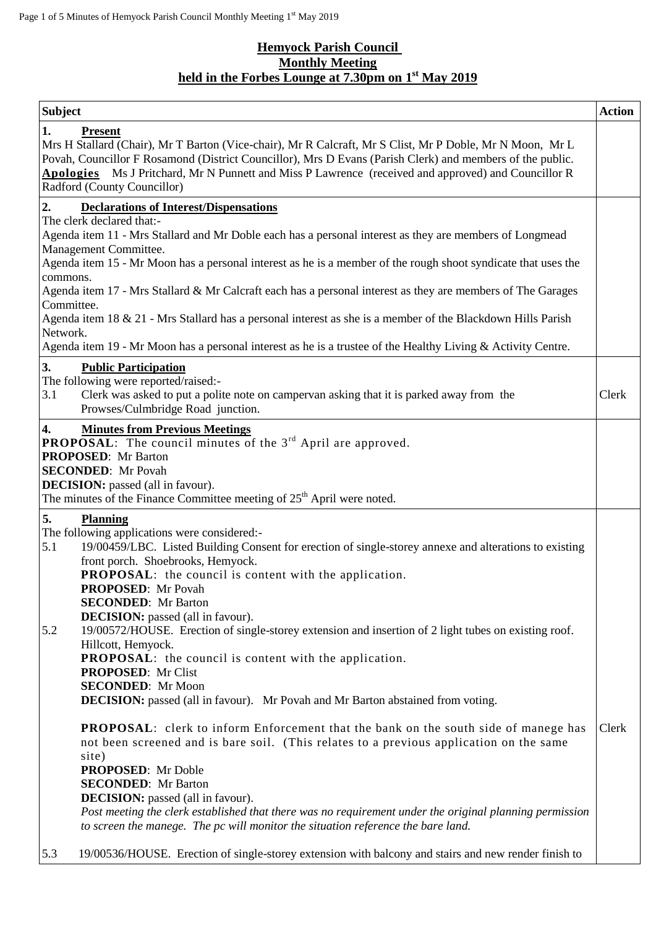## **Hemyock Parish Council Monthly Meeting held in the Forbes Lounge at 7.30pm on 1 st May 2019**

| <b>Subject</b>                                                                                                                                                                                                                                                                                                                                                                      | <b>Action</b> |  |
|-------------------------------------------------------------------------------------------------------------------------------------------------------------------------------------------------------------------------------------------------------------------------------------------------------------------------------------------------------------------------------------|---------------|--|
| 1.<br><b>Present</b><br>Mrs H Stallard (Chair), Mr T Barton (Vice-chair), Mr R Calcraft, Mr S Clist, Mr P Doble, Mr N Moon, Mr L<br>Povah, Councillor F Rosamond (District Councillor), Mrs D Evans (Parish Clerk) and members of the public.<br>Apologies Ms J Pritchard, Mr N Punnett and Miss P Lawrence (received and approved) and Councillor R<br>Radford (County Councillor) |               |  |
| <b>Declarations of Interest/Dispensations</b><br>2.                                                                                                                                                                                                                                                                                                                                 |               |  |
| The clerk declared that:-<br>Agenda item 11 - Mrs Stallard and Mr Doble each has a personal interest as they are members of Longmead                                                                                                                                                                                                                                                |               |  |
| Management Committee.                                                                                                                                                                                                                                                                                                                                                               |               |  |
| Agenda item 15 - Mr Moon has a personal interest as he is a member of the rough shoot syndicate that uses the<br>commons.                                                                                                                                                                                                                                                           |               |  |
| Agenda item 17 - Mrs Stallard & Mr Calcraft each has a personal interest as they are members of The Garages                                                                                                                                                                                                                                                                         |               |  |
| Committee.<br>Agenda item 18 & 21 - Mrs Stallard has a personal interest as she is a member of the Blackdown Hills Parish<br>Network.                                                                                                                                                                                                                                               |               |  |
| Agenda item 19 - Mr Moon has a personal interest as he is a trustee of the Healthy Living & Activity Centre.                                                                                                                                                                                                                                                                        |               |  |
| 3.<br><b>Public Participation</b>                                                                                                                                                                                                                                                                                                                                                   |               |  |
| The following were reported/raised:-<br>3.1<br>Clerk was asked to put a polite note on campervan asking that it is parked away from the<br>Prowses/Culmbridge Road junction.                                                                                                                                                                                                        | Clerk         |  |
| <b>Minutes from Previous Meetings</b><br>4.<br><b>PROPOSAL:</b> The council minutes of the $3rd$ April are approved.<br><b>PROPOSED:</b> Mr Barton<br><b>SECONDED:</b> Mr Povah<br><b>DECISION:</b> passed (all in favour).<br>The minutes of the Finance Committee meeting of $25th$ April were noted.                                                                             |               |  |
| 5.<br><b>Planning</b>                                                                                                                                                                                                                                                                                                                                                               |               |  |
| The following applications were considered:-<br>19/00459/LBC. Listed Building Consent for erection of single-storey annexe and alterations to existing<br>5.1                                                                                                                                                                                                                       |               |  |
| front porch. Shoebrooks, Hemyock.                                                                                                                                                                                                                                                                                                                                                   |               |  |
| PROPOSAL: the council is content with the application.<br><b>PROPOSED:</b> Mr Povah                                                                                                                                                                                                                                                                                                 |               |  |
| <b>SECONDED:</b> Mr Barton                                                                                                                                                                                                                                                                                                                                                          |               |  |
| <b>DECISION:</b> passed (all in favour).<br>5.2                                                                                                                                                                                                                                                                                                                                     |               |  |
| 19/00572/HOUSE. Erection of single-storey extension and insertion of 2 light tubes on existing roof.<br>Hillcott, Hemyock.                                                                                                                                                                                                                                                          |               |  |
| <b>PROPOSAL:</b> the council is content with the application.                                                                                                                                                                                                                                                                                                                       |               |  |
| <b>PROPOSED:</b> Mr Clist<br><b>SECONDED:</b> Mr Moon                                                                                                                                                                                                                                                                                                                               |               |  |
| <b>DECISION:</b> passed (all in favour). Mr Povah and Mr Barton abstained from voting.                                                                                                                                                                                                                                                                                              |               |  |
| <b>PROPOSAL:</b> clerk to inform Enforcement that the bank on the south side of manege has<br>not been screened and is bare soil. (This relates to a previous application on the same                                                                                                                                                                                               | Clerk         |  |
| site)                                                                                                                                                                                                                                                                                                                                                                               |               |  |
| <b>PROPOSED:</b> Mr Doble<br><b>SECONDED:</b> Mr Barton                                                                                                                                                                                                                                                                                                                             |               |  |
| <b>DECISION:</b> passed (all in favour).                                                                                                                                                                                                                                                                                                                                            |               |  |
| Post meeting the clerk established that there was no requirement under the original planning permission<br>to screen the manege. The pc will monitor the situation reference the bare land.                                                                                                                                                                                         |               |  |
| 5.3<br>19/00536/HOUSE. Erection of single-storey extension with balcony and stairs and new render finish to                                                                                                                                                                                                                                                                         |               |  |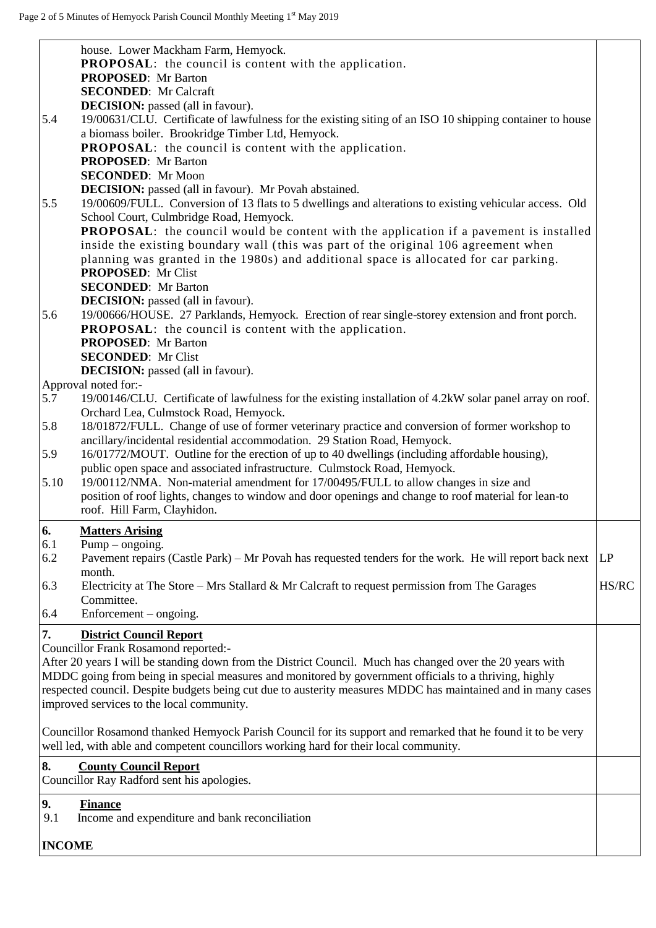|               | house. Lower Mackham Farm, Hemyock.                                                                                                      |       |
|---------------|------------------------------------------------------------------------------------------------------------------------------------------|-------|
|               | <b>PROPOSAL:</b> the council is content with the application.                                                                            |       |
|               | <b>PROPOSED:</b> Mr Barton<br><b>SECONDED:</b> Mr Calcraft                                                                               |       |
|               | <b>DECISION:</b> passed (all in favour).                                                                                                 |       |
| 5.4           | 19/00631/CLU. Certificate of lawfulness for the existing siting of an ISO 10 shipping container to house                                 |       |
|               | a biomass boiler. Brookridge Timber Ltd, Hemyock.                                                                                        |       |
|               | <b>PROPOSAL:</b> the council is content with the application.                                                                            |       |
|               | <b>PROPOSED:</b> Mr Barton                                                                                                               |       |
|               | <b>SECONDED:</b> Mr Moon                                                                                                                 |       |
|               | <b>DECISION:</b> passed (all in favour). Mr Povah abstained.                                                                             |       |
| 5.5           | 19/00609/FULL. Conversion of 13 flats to 5 dwellings and alterations to existing vehicular access. Old                                   |       |
|               | School Court, Culmbridge Road, Hemyock.                                                                                                  |       |
|               | <b>PROPOSAL:</b> the council would be content with the application if a pavement is installed                                            |       |
|               | inside the existing boundary wall (this was part of the original 106 agreement when                                                      |       |
|               | planning was granted in the 1980s) and additional space is allocated for car parking.<br><b>PROPOSED:</b> Mr Clist                       |       |
|               | <b>SECONDED:</b> Mr Barton                                                                                                               |       |
|               | <b>DECISION:</b> passed (all in favour).                                                                                                 |       |
| 5.6           | 19/00666/HOUSE. 27 Parklands, Hemyock. Erection of rear single-storey extension and front porch.                                         |       |
|               | <b>PROPOSAL:</b> the council is content with the application.                                                                            |       |
|               | <b>PROPOSED:</b> Mr Barton                                                                                                               |       |
|               | <b>SECONDED:</b> Mr Clist                                                                                                                |       |
|               | <b>DECISION:</b> passed (all in favour).                                                                                                 |       |
|               | Approval noted for:-                                                                                                                     |       |
| 5.7           | 19/00146/CLU. Certificate of lawfulness for the existing installation of 4.2kW solar panel array on roof.                                |       |
| 5.8           | Orchard Lea, Culmstock Road, Hemyock.<br>18/01872/FULL. Change of use of former veterinary practice and conversion of former workshop to |       |
|               | ancillary/incidental residential accommodation. 29 Station Road, Hemyock.                                                                |       |
| 5.9           | 16/01772/MOUT. Outline for the erection of up to 40 dwellings (including affordable housing),                                            |       |
|               | public open space and associated infrastructure. Culmstock Road, Hemyock.                                                                |       |
| 5.10          | 19/00112/NMA. Non-material amendment for 17/00495/FULL to allow changes in size and                                                      |       |
|               | position of roof lights, changes to window and door openings and change to roof material for lean-to                                     |       |
|               | roof. Hill Farm, Clayhidon.                                                                                                              |       |
| 6.            | <b>Matters Arising</b>                                                                                                                   |       |
| 6.1           | $Pump - ongoing.$                                                                                                                        |       |
| 6.2           | Pavement repairs (Castle Park) – Mr Povah has requested tenders for the work. He will report back next                                   | LP    |
| 6.3           | month.<br>Electricity at The Store – Mrs Stallard & Mr Calcraft to request permission from The Garages                                   | HS/RC |
|               | Committee.                                                                                                                               |       |
| 6.4           | $Enforcement - ongoing.$                                                                                                                 |       |
|               |                                                                                                                                          |       |
| 7.            | <b>District Council Report</b><br><b>Councillor Frank Rosamond reported:-</b>                                                            |       |
|               | After 20 years I will be standing down from the District Council. Much has changed over the 20 years with                                |       |
|               | MDDC going from being in special measures and monitored by government officials to a thriving, highly                                    |       |
|               | respected council. Despite budgets being cut due to austerity measures MDDC has maintained and in many cases                             |       |
|               | improved services to the local community.                                                                                                |       |
|               |                                                                                                                                          |       |
|               | Councillor Rosamond thanked Hemyock Parish Council for its support and remarked that he found it to be very                              |       |
|               | well led, with able and competent councillors working hard for their local community.                                                    |       |
| 8.            | <b>County Council Report</b>                                                                                                             |       |
|               | Councillor Ray Radford sent his apologies.                                                                                               |       |
| 9.            | <b>Finance</b>                                                                                                                           |       |
| 9.1           | Income and expenditure and bank reconciliation                                                                                           |       |
|               |                                                                                                                                          |       |
| <b>INCOME</b> |                                                                                                                                          |       |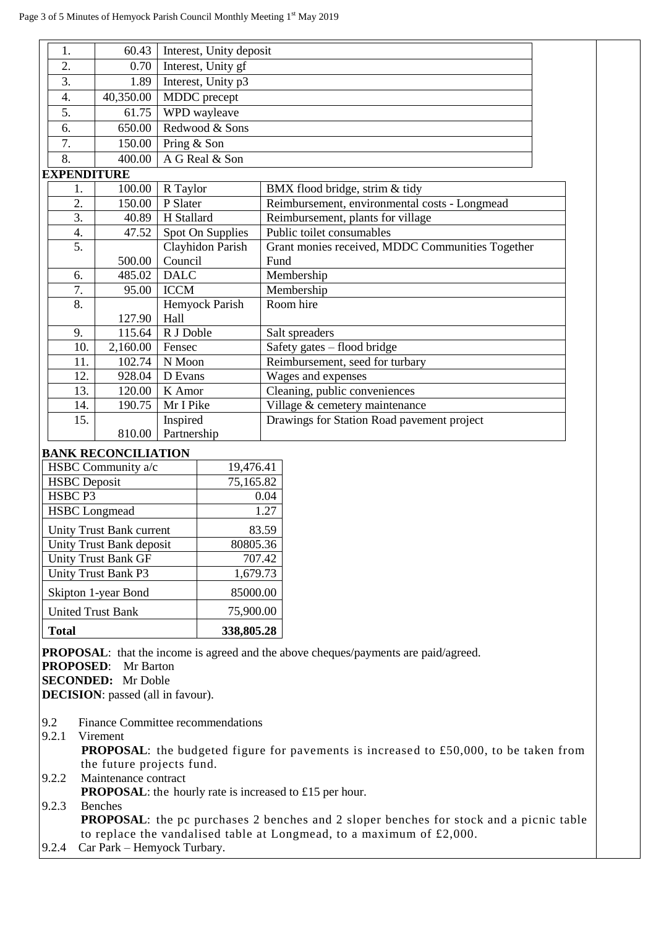| 1.                 | 60.43     | Interest, Unity deposit |                                                  |
|--------------------|-----------|-------------------------|--------------------------------------------------|
| 2.                 | 0.70      | Interest, Unity gf      |                                                  |
| 3.                 | 1.89      | Interest, Unity p3      |                                                  |
| 4.                 | 40,350.00 | MDDC precept            |                                                  |
| 5.                 | 61.75     | WPD wayleave            |                                                  |
| 6.                 | 650.00    | Redwood & Sons          |                                                  |
| 7.                 | 150.00    | Pring & Son             |                                                  |
| 8.                 | 400.00    | A G Real & Son          |                                                  |
| <b>EXPENDITURE</b> |           |                         |                                                  |
| 1.                 | 100.00    | R Taylor                | BMX flood bridge, strim & tidy                   |
| 2.                 | 150.00    | P Slater                | Reimbursement, environmental costs - Longmead    |
| 3.                 | 40.89     | H Stallard              | Reimbursement, plants for village                |
| 4.                 | 47.52     | Spot On Supplies        | Public toilet consumables                        |
| 5.                 |           | Clayhidon Parish        | Grant monies received, MDDC Communities Together |
|                    | 500.00    | Council                 | Fund                                             |
| 6.                 | 485.02    | <b>DALC</b>             | Membership                                       |
| 7.                 | 95.00     | <b>ICCM</b>             | Membership                                       |
| 8.                 |           | Hemyock Parish          | Room hire                                        |
|                    | 127.90    | Hall                    |                                                  |
| 9.                 | 115.64    | R J Doble               | Salt spreaders                                   |
| 10.                | 2,160.00  | Fensec                  | Safety gates - flood bridge                      |
| 11.                | 102.74    | N Moon                  | Reimbursement, seed for turbary                  |
| 12.                | 928.04    | D Evans                 | Wages and expenses                               |
| 13.                | 120.00    | K Amor                  | Cleaning, public conveniences                    |
| 14.                | 190.75    | Mr I Pike               | Village & cemetery maintenance                   |
| 15.                |           | Inspired                | Drawings for Station Road pavement project       |
|                    | 810.00    | Partnership             |                                                  |

## **BANK RECONCILIATION**

| HSBC Community a/c         | 19,476.41  |
|----------------------------|------------|
| <b>HSBC</b> Deposit        | 75,165.82  |
| HSBC <sub>P3</sub>         | 0.04       |
| <b>HSBC</b> Longmead       | 1.27       |
| Unity Trust Bank current   | 83.59      |
| Unity Trust Bank deposit   | 80805.36   |
| <b>Unity Trust Bank GF</b> | 707.42     |
| Unity Trust Bank P3        | 1,679.73   |
| Skipton 1-year Bond        | 85000.00   |
| <b>United Trust Bank</b>   | 75,900.00  |
| Total                      | 338,805.28 |

**PROPOSAL**: that the income is agreed and the above cheques/payments are paid/agreed.

**PROPOSED**: Mr Barton

**SECONDED:** Mr Doble

**DECISION**: passed (all in favour).

- 9.2 Finance Committee recommendations
- 9.2.1 Virement

 **PROPOSAL**: the budgeted figure for pavements is increased to £50,000, to be taken from the future projects fund.

9.2.2 Maintenance contract

**PROPOSAL:** the hourly rate is increased to £15 per hour.

9.2.3 Benches

**PROPOSAL**: the pc purchases 2 benches and 2 sloper benches for stock and a picnic table to replace the vandalised table at Longmead, to a maximum of £2,000.

9.2.4 Car Park – Hemyock Turbary.